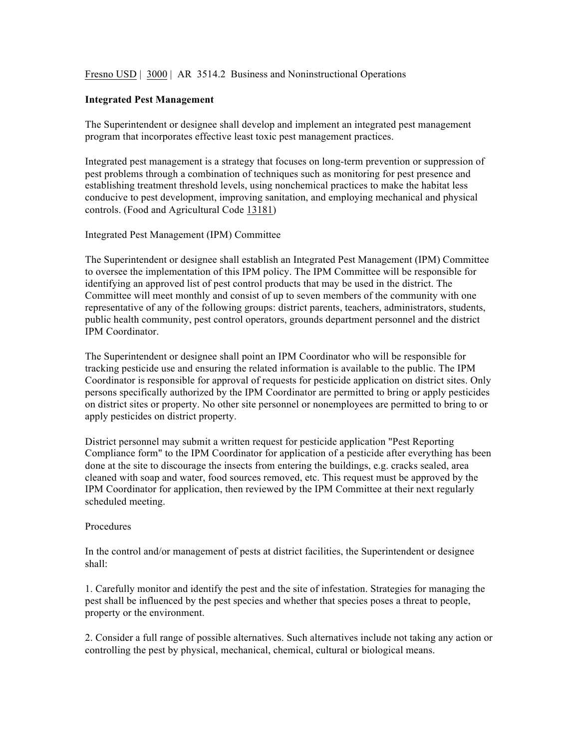Fresno USD | 3000 | AR 3514.2 Business and Noninstructional Operations

## **Integrated Pest Management**

The Superintendent or designee shall develop and implement an integrated pest management program that incorporates effective least toxic pest management practices.

Integrated pest management is a strategy that focuses on long-term prevention or suppression of pest problems through a combination of techniques such as monitoring for pest presence and establishing treatment threshold levels, using nonchemical practices to make the habitat less conducive to pest development, improving sanitation, and employing mechanical and physical controls. (Food and Agricultural Code 13181)

Integrated Pest Management (IPM) Committee

The Superintendent or designee shall establish an Integrated Pest Management (IPM) Committee to oversee the implementation of this IPM policy. The IPM Committee will be responsible for identifying an approved list of pest control products that may be used in the district. The Committee will meet monthly and consist of up to seven members of the community with one representative of any of the following groups: district parents, teachers, administrators, students, public health community, pest control operators, grounds department personnel and the district IPM Coordinator.

The Superintendent or designee shall point an IPM Coordinator who will be responsible for tracking pesticide use and ensuring the related information is available to the public. The IPM Coordinator is responsible for approval of requests for pesticide application on district sites. Only persons specifically authorized by the IPM Coordinator are permitted to bring or apply pesticides on district sites or property. No other site personnel or nonemployees are permitted to bring to or apply pesticides on district property.

District personnel may submit a written request for pesticide application "Pest Reporting Compliance form" to the IPM Coordinator for application of a pesticide after everything has been done at the site to discourage the insects from entering the buildings, e.g. cracks sealed, area cleaned with soap and water, food sources removed, etc. This request must be approved by the IPM Coordinator for application, then reviewed by the IPM Committee at their next regularly scheduled meeting.

## Procedures

In the control and/or management of pests at district facilities, the Superintendent or designee shall:

1. Carefully monitor and identify the pest and the site of infestation. Strategies for managing the pest shall be influenced by the pest species and whether that species poses a threat to people, property or the environment.

2. Consider a full range of possible alternatives. Such alternatives include not taking any action or controlling the pest by physical, mechanical, chemical, cultural or biological means.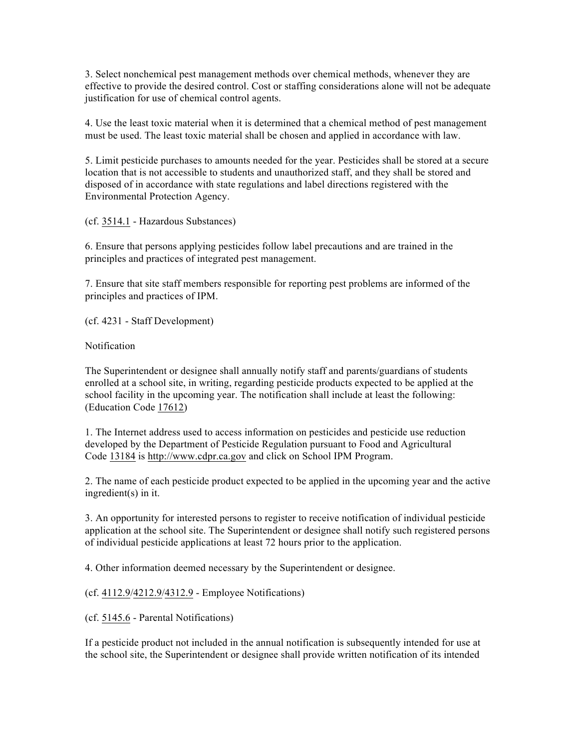3. Select nonchemical pest management methods over chemical methods, whenever they are effective to provide the desired control. Cost or staffing considerations alone will not be adequate justification for use of chemical control agents.

4. Use the least toxic material when it is determined that a chemical method of pest management must be used. The least toxic material shall be chosen and applied in accordance with law.

5. Limit pesticide purchases to amounts needed for the year. Pesticides shall be stored at a secure location that is not accessible to students and unauthorized staff, and they shall be stored and disposed of in accordance with state regulations and label directions registered with the Environmental Protection Agency.

(cf. 3514.1 - Hazardous Substances)

6. Ensure that persons applying pesticides follow label precautions and are trained in the principles and practices of integrated pest management.

7. Ensure that site staff members responsible for reporting pest problems are informed of the principles and practices of IPM.

(cf. 4231 - Staff Development)

Notification

The Superintendent or designee shall annually notify staff and parents/guardians of students enrolled at a school site, in writing, regarding pesticide products expected to be applied at the school facility in the upcoming year. The notification shall include at least the following: (Education Code 17612)

1. The Internet address used to access information on pesticides and pesticide use reduction developed by the Department of Pesticide Regulation pursuant to Food and Agricultural Code 13184 is http://www.cdpr.ca.gov and click on School IPM Program.

2. The name of each pesticide product expected to be applied in the upcoming year and the active ingredient(s) in it.

3. An opportunity for interested persons to register to receive notification of individual pesticide application at the school site. The Superintendent or designee shall notify such registered persons of individual pesticide applications at least 72 hours prior to the application.

4. Other information deemed necessary by the Superintendent or designee.

(cf. 4112.9/4212.9/4312.9 - Employee Notifications)

(cf. 5145.6 - Parental Notifications)

If a pesticide product not included in the annual notification is subsequently intended for use at the school site, the Superintendent or designee shall provide written notification of its intended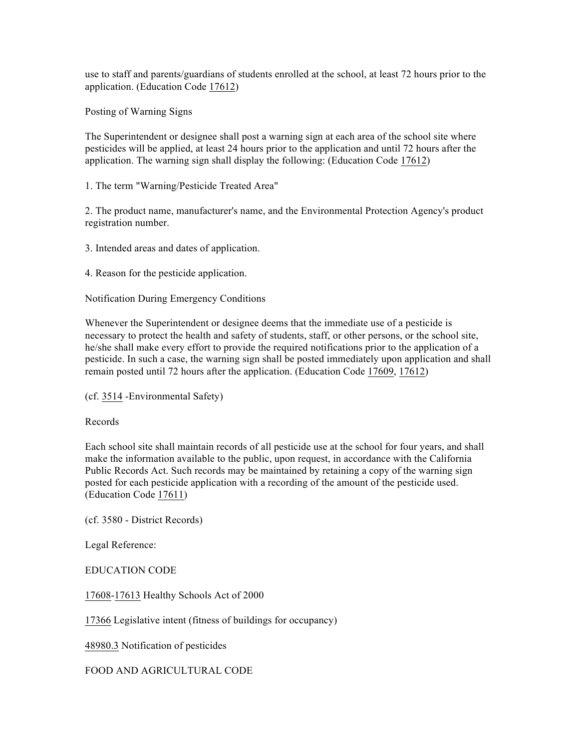use to staff and parents/guardians of students enrolled at the school, at least 72 hours prior to the application. (Education Code 17612)

Posting of Warning Signs

The Superintendent or designee shall post a warning sign at each area of the school site where pesticides will be applied, at least 24 hours prior to the application and until 72 hours after the application. The warning sign shall display the following: (Education Code 17612)

1. The term "Warning/Pesticide Treated Area"

2. The product name, manufacturer's name, and the Environmental Protection Agency's product registration number.

3. Intended areas and dates of application.

4. Reason for the pesticide application.

Notification During Emergency Conditions

Whenever the Superintendent or designee deems that the immediate use of a pesticide is necessary to protect the health and safety of students, staff, or other persons, or the school site, he/she shall make every effort to provide the required notifications prior to the application of a pesticide. In such a case, the warning sign shall be posted immediately upon application and shall remain posted until 72 hours after the application. (Education Code 17609, 17612)

(cf. 3514 -Environmental Safety)

Records

Each school site shall maintain records of all pesticide use at the school for four years, and shall make the information available to the public, upon request, in accordance with the California Public Records Act. Such records may be maintained by retaining a copy of the warning sign posted for each pesticide application with a recording of the amount of the pesticide used. (Education Code 17611)

(cf. 3580 - District Records)

Legal Reference:

EDUCATION CODE

17608-17613 Healthy Schools Act of 2000

17366 Legislative intent (fitness of buildings for occupancy)

48980.3 Notification of pesticides

FOOD AND AGRICULTURAL CODE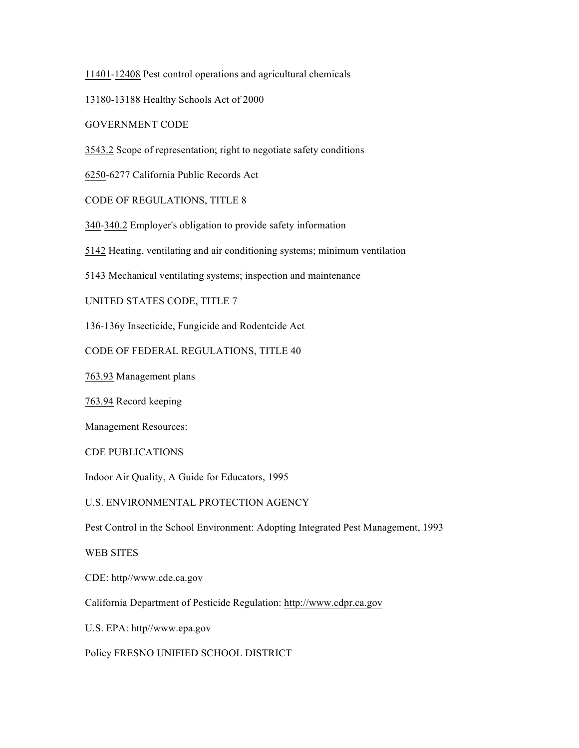11401-12408 Pest control operations and agricultural chemicals

13180-13188 Healthy Schools Act of 2000

GOVERNMENT CODE

3543.2 Scope of representation; right to negotiate safety conditions

6250-6277 California Public Records Act

CODE OF REGULATIONS, TITLE 8

340-340.2 Employer's obligation to provide safety information

5142 Heating, ventilating and air conditioning systems; minimum ventilation

5143 Mechanical ventilating systems; inspection and maintenance

UNITED STATES CODE, TITLE 7

136-136y Insecticide, Fungicide and Rodentcide Act

CODE OF FEDERAL REGULATIONS, TITLE 40

763.93 Management plans

763.94 Record keeping

Management Resources:

CDE PUBLICATIONS

Indoor Air Quality, A Guide for Educators, 1995

U.S. ENVIRONMENTAL PROTECTION AGENCY

Pest Control in the School Environment: Adopting Integrated Pest Management, 1993

WEB SITES

CDE: http//www.cde.ca.gov

California Department of Pesticide Regulation: http://www.cdpr.ca.gov

U.S. EPA: http//www.epa.gov

Policy FRESNO UNIFIED SCHOOL DISTRICT